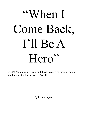## ìWhen I Come Back, Iíll Be A Hero"

A GM Moraine employee, and the difference he made in one of the bloodiest battles in World War II.

By Randy Ingram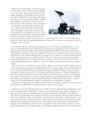Did you know that Moraine Assembly can trace its roots back to 1917? And in terms of longevity, we are one of the oldest, active workforces in the nation. Originally, we built fighter planes for the war effort in World War I. Then, after GM bought the facility in 1921, we became Frigidaire and built home appliances until 1979. And for the last 21 years it's been trucks and SUVs. Tens of thousands of workers have passed through our gates, each with a different and unique life story to tell. Recently, the exploits of one such co-worker have come to light. It's an inspiring yet sad story of one young man who worked here a long time ago whose life had a tremendous impact on all our lives. We



have seen his picture countless times but none of us ever knew who he was – until now. His life, his beliefs and values, what he experienced and gave of himself, are a lesson we as Americans all need to remember. This is his story.

 Everyone has seen the now famous photograph of the three firemen hoisting Old Glory over the ruins of The World Trade Center. Much has been said about its resemblance to the most famous photograph ever taken; the flag raising on Iwo Jima during World War II. This picture captured the nationís hearts at the peak of the war, in March 1945. It was to us, symbolic of the whole war and the embodiment of the American fighting spirit. It's image the very essence of heroism and determination. It has continued to inspire the American people to this day. The men were instantly immortalized, though their identities were unknown. It became the subject of three movies and numerous books. A huge monument depicting this  $1/400$ th of a second is visited each year by thousands in our nation's capitol.

 But who were these men? What were their names? Where were they from? While reading this book, a little, long forgotten fact about one particular flag-raiser has come to light. The second man from the left in this blurred and indistinct, yet unforgettable image is Franklin R. Sousley and he is our aforementioned co-worker. Itís true. One of the men immortalized in bronze in Arlington National Cemetery, who fought in perhaps the most horrific battle in our nationís history - is one of us! Tragically, this unique American tale does not have a happy ending. 26 long and grueling days later as the Battle of Iwo Jima was reaching itís fateful and inevitable climax, Franklin Sousley was killed in combat. Today he rests virtually forgotten outside his community in a rural Kentucky cemetery.

 Over the next several weeks we will share with you his story. A debt of gratitude is owed to authors James Bradley and Bill D. Ross for their authoritative works on this subject.

 There were six of them, though only four are visible. On the far right, planting the flagpole in some rocks he had gathered is Harlon Block of Texas, a star football player who enlisted in the Marines along with all the seniors on his high school team. Between Harlon and Franklin is John Bradley, a Navy medic from Wisconsin who would win The Navy Cross for Bravery and then stuff the medal in a closet, never telling his family of it's existence. On the far left of the picture, reaching but never quite able to grasp the pole is Arizonaís Ira Hayes, a Pima Indian. His whole life would be like that; always reaching, never grasping. The two men on the other side are barely discernible in the photo. Rene Gagnon of New Hampshire would forever try to capitalize on his newfound fame, only to see each lucky break somehow slip through his fingers. And Sergeant Mike Strank, whose only visible feature is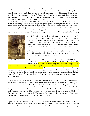his right hand helping Franklin's steady the pole. Mike Strank, the old man at age 24, a Marine's Marine whose birthday was the same date the Marine Corps was founded. His men absolutely idolized him. He would always teach them not just how to kill the enemy, but would also say, "Listen to me, and I'll get you home to your mothers." And then there is Franklin Sousley from Hilltop, Kentucky, second from the left. Although this story will center primarily on his life, it would be very difficult to tell Franklinís story without telling that of the others.

 The second of three sons, Franklin Runyon Sousley came into this world on September 19, 1925. The Sousleys were poor, as were most people living through the Great Depression. There was electricity but indoor plumbing was only something to dream about. Mostly life was about work, hard work, usually tobacco, but also putting up hay and milking the cows for they provided milk for the family. His older brother died in his mother's arms of appendicitis when Franklin was just three. Now, he and his mother Goldie drew particularly close as she sought to find solace in him over his brother's passing.



Franklin Sousley, at about age 6.

In 1931, Franklin began his education in a two-room schoolhouse in nearby Tea Run, and later a larger schoolhouse in Elizaville. In just three years his father died of diabetes. Now age nine, he became the man of the house and his mother became even more emotionally dependent upon him. In school, Franklin was academically perfect - all C's. With chores before school and work around the farm till dark, there was little time for studying or after school athletics. It wasn't an easy life but those who remember him best recall a boy with a quick and ready smile, who loved to hunt and fish in the Licking River nearby. And he loved that farm, saying it was his dream to someday return there and live out his years.

Upon graduation Franklin came north. Dayton was by then a bustling wartime town with plenty of opportunities for someone willing to put in a hard day's work. He found his way to Frigidaire Plant 2 on Springboro Pike,

working as a staker and assembler on the propeller line. During the week he stayed in an apartment at 107 Park Drive in East Dayton (since demolished). Weekends often found Franklin making the long trek back home to see his mother as well as his longtime sweetheart Marian Hamm. Things might have stayed that way but in December 1943 a telegram from a certain Uncle Sam changed all that - he had been drafted. Instead of going into the Army, Franklin opted, like a lot of young men his age, to join The Marine Corps.

 December 7, 1941 came as a shock to America. When Japanese bombs rained down on Pearl Harbor, Hawaii on that sleepy Sunday morning, The United States was an isolationist nation wanting no part in another European war. Franklin and his Mom were down at the barn milking the family cows that evening before church when word came. He knew it meant nothing less than war. Three days later Adolph Hitler, vowing our destruction, declared war on The United States. Now there was no turning back. America would have to fight two major wars at the same time. The task of taking on Nazi Germany was primarily assigned to the U.S. Army while that of stopping the Japanese onslaught across the South Pacific was handed to the Marine Corps and Navy.

Japan in the first half of the 20<sup>th</sup> century was a vastly different nation than the one we now know. They had already been at war for ten years, first invading Manchuria and then China in 1937. Through a series of political maneuverings and assassinations, the military seized power and began drawing up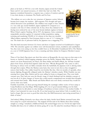plans as far back as 1925 for a war with America. Japan envied the United States and it's vast natural resources, of which they had very little. The Japanese considered themselves a superior race, a nation of warriors and felt it was their destiny to dominate The Pacific and Far East.

 The military set out to alter the very structure of Japanese society. Schools became boot camps, the teachers - drill sergeants. Free thought and open critical discussion were prohibited. The children were taught to hate America at a very early age (sound familiar?). Japan explained itís conquests as a crusade to rid Asia of white colonial rule. In fact, those they claimed to be freeing were enslaved by one of the most brutal, barbaric regimes in history. When Chinaís capitol, Nanking, fell in 1937, the Japanese Army committed unspeakable atrocities against it's unarmed civilian population, raping, torturing and murdering 350,000 of it's citizens in less than two months! Allied soldiers captured by Nazi Germany died at a rate of 1.1 % during the war. The death rate of prisoners held by the Japanese was a staggering 37%.



Franklin Sousley, the day he left hilltop, never to return.

The first land encounter between U.S. forces and those of Japan occurred on Guadalcanal in August 1942. The atrocities against our soldiers were well documented: torture, mutilation and cannibalism. Yes, they were even eating us, but they couldn't beat us. In December Guadalcanal fell to The Marines at a cost of 23,000 Japanese lives. It was a stunning and bitter defeat for Emperor Hirohitoís master race.

Three of Iwo Jimaís flag raisers saw their first action on Bouganville, the next stop on what came to be known as Americaís island hopping campaign across the Pacific. Sergeant Mike Strank, the coal miner's son from Pennsylvania, Ira Hayes, the Pima Indian and Harlon Block, the All-State football player from Texas; all had their baptism under fire here. "Bloody Bouganville" they came to call it. Knowing we always took our fallen comrades from the battlefield, the Japanese took to driving stakes through their corpses. When the Marines came back, they were in turn shot as they struggled to remove their bodies. One soldier found his own brother like that. After six months of sporadic, often intense fighting, Bouganville collapsed under the Marines' relentless attacks. While Franklin was just entering boot camp, Mike, Harlon and Ira were sailing for home as changed men. They were battle veterans now. They had now seen the bloody visage of death firsthand and the idealistic concept of war lost all of it's glory. Images of horror they could scarcely comprehend now invaded their thoughts and tortured their minds. Mike Strank and Harlon Block were now firmly convinced they would not survive their next battle.

Franklin meanwhile, set about proving himself during the seemingly endless weeks of boot camp at Camp Pendleton near San Diego. While laughing off a lot of good natured ribbing over his thick Kentucky drawl, he did admit to some feelings of loneliness in letters written to his mother Goldie. "I believe I am homesick for once in my life. If you had treated me mean before I left, it wouldn't be so hard to forget. But you were so good that when they (the Drill Instructors) start raving around here, I think of home."

And indeed, Hilltop, Kentucky was abuzz when the lanky, freckle faced Marine returned home after boot camp for a much-welcomed rest. "He stepped off that train in his Marine dress blues looking straight as a string," remarked a childhood friend. He seemed bigger now too. On his last night home Franklin did what a lot of soldiers do before going off to war. He asked his sweetheart Marion to wait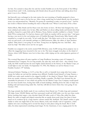for him. Too excited to sleep after she said she would, Franklin sat on the front porch of the Hilltop General Store until 3 A.M., reminiscing with friends about the good old days and talking about how great it was to be a Marine.

Sad farewells were exchanged at the train station the next morning as Franklin prepared to leave. Goldie just didn't want to let her boy go. After a long, tearful hug, he looked directly into his mother's weary eyes and promised her, "Momma, I'm gonna do something to make you proud of me." And his last words to Marion before boarding the train to Maysville were "When I come back, I'll be a Hero

Harlon Block, Mike Strank and Ira Hayes were also home on leave. All three had changed; they were more subdued and somber now. In fact, Mike and Harlon set about telling family and friends their final goodbyes. Seated in a quiet little café in Weslaco, Texas, Harlon stoically confided to a friend, "I don't think I'll be coming back. I've had my chances and I think my number will be up next time." And upon leaving a war movie in the coal mining town of Franklin Borough, Pennsylvania, Mike Strank softly remarked to a couple he was with, "It isn't really like that." His father went so far as to urge him to seek out and secure a job stateside, perhaps as a Drill Instructor. Mike, the oldest of three brothers replied, "Dad, there's a war going on out there. Young boys are fighting that war. And Dad. . .they need my help." His father never saw his son again.

Franklin was assigned to the newly created Fifth Division, some 21,000 strong whose purpose was to offset the staggering losses incurred in the war so far. The latest struggle took place on the island of Tarawa, where 4,400 Marines were lost in three days, while wiping out the entire Japanese garrison of 5,000.

The eventual flag-raisers all came together at Camp Pendleton, becoming a part of Company  $E$ nicknamed Easy Company. For six long months, day after day, week after week – they trained. Eventually, the Fifth would become the most highly trained division in the history of the Marine Corps, yet would fight in only one battle. On September 19, 1943, The Marines set sail for Hawaii. It was Franklin Sousley's 19th birthday.

Advanced Infantry Training, or A.I.T. as they like to call it, is basically boot camp after boot camp  $$ except the bullets are real and the training more difficult. Franklin found himself at Camp Tarawa, a 40,000 acre cattle ranch nestled in the rugged foothills of the island of Hawaii. Thick volcanic ash from two nearby volcanoes covered everything. Hardly a paradise, The Red Cross deemed the site unsuitable for prisoners of war; which was perfect for the Marine Corps. Easy Company would spend the next four months here, honing their skills at beach landings, climbing down the sides of ships into landing craft and maneuvering under fire. And they still did not know where they were going. It was October 1943.

The huge armada that finally made it's way southwest from Hawaii was 70 miles long and contained 500 ships. Some 100,000 Marine and Navy personnel would sail 4,000 miles over the next three weeks before reaching their target, a tiny, desolate island 650 miles south of Tokyo Bay called Iwo Jima. Barely five miles in length and shaped somewhat like an upside down pork chop, Iwo Jima is dominated on it's southern tip by a huge inactive volcano named Mt. Suribachi. The island's surface is quite similar to what one might find on the moon. Barren, rocky and virtually void of vegetation, a thick sulphur ash coats everything and is several feet deep in some places along the beach. But to both sides, Iwo Jima represented something much larger. To the Americans, it was a staging point for the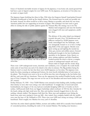forces of freedomís inevitable invasion of Japan; for the Japanese, it was home soil, sacred ground that had been a part of Japan's empire for over 4,000 years. To the Japanese, an invasion of Iwo Jima was an attack on Japan itself.

The Japanese began fortifying Iwo Jima in May, 1944 when the Emperor himself hand-picked General Tadamichi Kuribayashi to head up the island's defense. The General knew he could not possibly win the battle. Instead, his effort would be to kill as many Marines as possible, and shock the war weary American public into not supporting an invasion of Japan. This technique was later used to great affect in turning the tide of public opinion against the Vietnam War. His strategy was to let The



This was the picture that the Marines met with on the beach at Iwo Jima.

Marines land unopposed, and once the beaches were clogged with men and equipment, annihilate them.

The defense of the entire island was designed towards this goal. Over 750 blockhouses and pillboxes manned by 22,000 Japanese were neatly camouflaged into the landscape, each one strategically located so as to have overlapping fields of fire and support. Months were spent setting up and sighting the myriad machine gun, mortar and artillery pieces. General Kuribayashi brought in the best fortification specialists in the Japanese Army. Quarry experts, mining engineers and labor battalions worked around the clock to devise a complex system of underground tunnels and caves, Sixteen miles in length and five stories deep.

There were 1,500 underground rooms, electricity and ventilation, even a hospital. He could shuttle entire units of men from one end of the island to the other in minutes. The Big problem facing the Marines wasn't so much the fact that there were 22,000 Japanese on Iwo Jima. The Japanese were inside Iwo Jima; manning an underground fortress, the most heavily defended piece of real estate on the planet. The General even went so far as to tell his men they were all going to die, but before they did they each must kill ten Americans. These are the opponents that awaited Franklin Sousley and the men of Easy Company. The stage was now set for one of the bloodiest and most heroic battles of the  $20<sup>th</sup>$  century.

D-Day February 19, 1945 - Over 70,000 Marines were massed in their landing crafts, hurtling towards their destiny in wave after wave along a two mile beachhead. 72 straight days of naval and aerial bombardment, the longest of the war, had just concluded dropping 5,800 tons of bombs on Iwoís surface. 2,600-pound shells from our biggest battleships sailed overhead. At 9:05 the first Amtraks hit the beach, taking only light small arms fire. Men and machine instantly bogged down in the soft, sucking, volcanic cinders. The Japanese held their fire. More men and equipment were hitting the beach now, units were starting to form up. Still...they waited. Easy company landed with the twelfth wave near the base of Mt. Suribachi at 9:55. There were now 6,200 men strung out along a 3,000-yard beachhead. That's roughly two Marines for every yard of shoreline.

And then the entire island exploded. Bullets, mortars and artillery shells fell in cascades from hundreds of concealed positions, shredding the ranks of the stunned Marines. The landing zone became a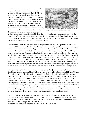maelstrom of death. There was nowhere to hide. Digging a foxhole was almost impossible. As soon as a shovel-full was scooped out the hole filled up again. And still the assault waves kept coming. One Amtrak took a direct hit, instantly immolating those on board. The noise from all those guns and the constant explosions rose to a point where it became one loud, deafening roar. One Marine commented that it was so loud it seemed almost like a perfect silence. A lot of the wounded waiting on the beach to be evacuated were blown to bits. The twisted carcasses of destroyed tanks and



The flamethrower was used extensively in the caves of Iwo Jima, since the Japanse would rarely surrender.

landing craft littered the beach, many blocking the way of the incoming assault craft. And still they came, wave after wave. Some tanks, desperately trying to break free of the beachhead, crushed many of the surviving wounded. There just wasnít anywhere else to go. The dead continued to pile up along the shoreline. Bodies and body parts . . . were everywhere.

Franklin and the men of Easy Company were caught on the terraces just beyond the beach. "I was very scared," Ira Hayes would later write. "I jumped clear of our boat, and about three yards away lay a dead Marine right on the water's edge, shot in the head. He hadn't begun to fight." Nineteen-year-old corpsman Danny Thomas hit the beach several steps behind his best friend, Chick Harris. "I was charging ahead and saw Chick on the beach, facing out to sea, his back to the battle." But something just didnít seem quite right. He appeared to be standing erect but only his head and torso were visible. It was as if he were buried waist deep in the sand. As he raced past, Thomas shouted a greeting to his friend. Harris was looking directly at him and managed only a feeble wave with his hand. It was only after he was past that Thomas realized what he had just seen. His best friend since boot camp had been cut in half and through some cruel twist of fate was in those few brief agonizing moments just before he died. Only later did his commanders discover that Chick Harris was just fifteen years old.

Heroes were dropping like autumn leaves from a tree. Men like John Basilone, the hero of Guadalcanal killed in a mortar blast. Basilone had just been awarded a Congressional Medal of Honor for single-handedly holding his position on that island during a Banzai attack, and killing nearly a hundred of the enemy in the process. He could have stayed stateside training troops and selling war bonds. Basilone decided he would rather stay with his men. Today he rests in Arlington National Cemetery. One can only wonder what was racing through Franklin's mind at this point. No doubt thinking he would never see his mother or home again, like most of the men on this God-Awful island, scratching and clawing, bleeding and dying for every inch of real estate. It was now becoming horribly obvious that the seventy two-day bombardment was a complete waste of time. The Japanese were dug in and ready to fight to the death. They were well concealed and surrounded by tons of rock and concrete. Up against all this, all the Marines had for protection were their khaki shirts.

By 10:46 Franklin and the other survivors of Easy Company had worked their way up over the terraces and were moving inland, albeit at a snails pace. They were a part of the 28<sup>th</sup> Regiment, whose task was to cut across the island at the base of Mt. Suribachi, isolating it from the rest of the island. Suribachi and it's 2000 Japanese defenders had to

be taken if the Marines were to have any hope of winning this battle.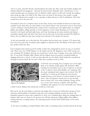And so it went, yard after bloody yard throughout the entire day. They crept and crawled, dodged and ducked, slithered and staggered – and kept moving forward. Typically, when a blockhouse or concealed machine gun was attacked, units of Marines, widely spaced, would rush towards the emplacement along the edge of its field of fire. Many were cut down in the process, but usually a couple survivors could get close enough to use a grenade or flame-thrower to kill it's inhabitants. Then they would move on to the next one.

Uncommon valor was a common virtue on Iwo Jima. In fact, more medals for bravery in action were awarded on Iwo Jima than any other battle in our nationís history. One such honor went to Tony Stein, a native of Dayton. Having fashioned a weapon from a machine gun off a fighter plane, he charged pillbox after pillbox, killing upwards of twenty Japanese at close range. Running out of ammo, he scurried to the beach and back eight times, each time shooting up an enemy position and taking a wounded comrade back with him. Tony Stein was the first man on Iwo Jima awarded The Medal of Honor. He was killed ten days later, having never learned of his citation for bravery.

As the sun mercifully sat on this first day, 556 mothers had lost their sons. Another 1,755 moms had boys who were grievously wounded, many crippled or maimed for life. The Battle of Iwo Jima would last another thirty-five days.

Easy Company had it pretty good for awhile on Day Two, being held in reserve in case of counterattack. There were now 33,000 Marines on the island, and the 28<sup>th</sup> Regiment, some 3,000 strong, was now attacking Mt. Suribachi. Moving out around four o'clock, Easy Company soon came under heavy fire. At one point, Franklin, Mike, Harlon and Ira helped rescue five gravely wounded buddies by dragging them into a trench. A tank was then directed over the ditch, which loaded the wounded up through its bottom hatch. By the end of Day Two, casualties stood at 3,500.



Easy Company hd the task of hoisting the U.S. flag over Mt. Suribachi.

At 8:30 the next morning, Easy Company was on the right flank of an infantry charge against Mt. Suribachi. Mike, Franklin, Ira and Harlon were in the 2<sup>nd</sup> platoon, to the left of the 3rd platoon where John Bradley was corpsman. But the much anticipated tank support never arrived. The  $28<sup>th</sup>$ would have to stand up and charge the most heavily fortified fortress in the history of armed conflict by themselves. Also, the Japanese weren't just on top shooting down at them; they were inside Suribachi, having carved out a seven story structure complete with electricity, ventilation and weapons of every conceivable size. Almost

a third of those Marines that fateful day would not come back.

But one by one the men began to stand up and charge; they in turn were followed by groups of twos and fours until hundreds of terrified young men were running headlong towards the enemy. Mt. Suribachi erupted in return with a hailstorm of steel, over a hundred guns raking the charging lines of infantry. Men were cut down by the dozens, but still they advanced, stalking pillbox after pillbox, turning each into a roaring furnace. The sickening stench of burnt flesh floated freely on the moist morning air.

It was here, for pulling a wounded Marine thirty yards as saturating enemy crossfire danced all around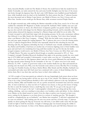them, that John Bradley would win The Medal of Honor. He would forever hide the medal from his family. Eventually, our tanks entered the fray and some horrific firefights near the base of the mountain broke through the Japanese lines. By day's end, 1,000 Marines were huddled around Suribachi's base, while hundreds more lay dead on the battlefield. For their actions that day,  $3<sup>rd</sup>$  platoon became the most decorated unit in Marine Corps history: one Medal of Honor, two Navy Crosses and one Silver Star. Another seven would get the Bronze Star, while seventeen received Purple Hearts.

An all night torrential rain, while making the Marines miserable on Day Four, saved a lot of lives and enabled the embattled 28<sup>th</sup> Regiment to finally surround Mt. Suribachi. With visibility near zero and the rain coming down in sheets, the effectiveness of Japanese gunfire was greatly reduced. The fighting was slow and rife with danger but the Marines kept pushing forward, yard by miserable yard. Navy spotter planes detected the Japanese massing for a Banzai charge and called for an air strike. The Corsairs swooped in and found their target with devastating accuracy. In the eerie, momentary stillness that followed, it was Mike Strank who first leaped to his feet, shouting, "Let's show these bastards what a real Banzai is like! Easy Company. . .Charge!" With that the battle weary troops got to their feet and once again charged the waiting Japanese. The 3<sup>rd</sup> platoon also rose to join the ensuing melee. Led by 3<sup>rd</sup> platoon Sergeant Boots Thomas who repeatedly risked his life exhorting his men and directing tank fire, the Japanese defending the base of Suribachi were virtually annihilated. For Mike, Ira, Harlon and Franklin, it had been yet another day of torturous fighting; most of their buddies were gone and each had to be wondering how long until their number was up. For this day the battleravaged company would receive one Medal of Honor, four Navy Crosses, two Silver Stars and a slew of Purple Hearts. The price was paid in blood though as casualties amounted to 30% of Easy Companyís strength. President Roosevelt shuddered that night at the growing casualty list, now standing at 4,574 killed and wounded. Unfortunately, it wasn't quite over just yet. A Kamikaze suicide attack a few hours later by fifty Japanese planes sank the escort carrier Bismarck Sea and knocked out the large aircraft carrier Saratoga for the remainder of the war. 717 sailors were lost in the attack. February 23, 1945 - A piece of good news today as the weather finally lets up. Men and material are pouring onto the beach now. Why, even the Generals come ashore at noon. But Day Five is looming very large for Franklin Sousley, Ira Hayes, Harlon Block, Mike Strank and Doc Bradley. Suribachi was surrounded and today must fall. Each must have awakened with a sense of dread thinking what lay before them. But it was their duty and they knew it; that's what soldiers do.

 At 9:30 a couple of four-man patrols are ordered to the top. Surprisingly, both return about an hour later unscathed, one having made it all the way up to top of the volcano. The Marines are suspicious, it has to be a trap. Colonel Johnson decided to risk it and ordered a platoon to the top. 2nd platoon with Ira, Harlon, Mike and Franklin were off on a probe around the mountain's base and were unavailable. As luck would have it, what was left of 3<sup>rd</sup> platoon was closest, so they got the honor of being the first to scale Mt. Suribachi. Given a small flag they were told, "If you get to the top, put it up." Not when, but "if, you get to the top". A photographer volunteered to go along and up they went, walking, climbing, and even crawling in some places over boulders, rocks and debris. As they climbed, every Marine on the island turned to watch. Even the ships at anchor were focused on their every move, waiting for the Japanese to cut them down in a torrent of machine gun fire. "We thought it would be a slaughterhouse up on Suribachi," one Marine later remarked. "I still don't understand why we were not attacked." After making sure the area was secure and free of booby traps,  $3<sup>rd</sup>$  platoon quickly set about getting the flag up. Everyone was still tense, it just didnít make sense that the Japs would not fight to hold the mountain. A length of drainage pipe was located among the rubble to which the flag was fastened. As three of the Marines planted the pole and Old Glory fluttered over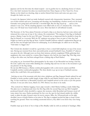Japanese soil for the first time the island erupted  $-$  not in gunfire but in a deafening chorus of cheers. For a few brief moments Iwo Jima was transformed into Times Square on New Years Eve. Every Marine on the island was cheering, ships at anchor blasted their horns and some new guys even thought the battle was won.

It wasnít; the Japanese holed up inside Suribachi reacted with characteristic fanaticism. They swarmed out of their tunnels and caves, screaming and shooting; one brandishing a broken sword over his head. Grenades were going back and forth like a snowball fight. But the flag stayed up . . . and in a few minutes it was over. All the attacking Japanese were killed with no loss of American life. A few days later, over 150 dead were found inside the caves. Most had died of self-inflicted wounds.

The Secretary of the Navy, James Forrestal, on board a ship as an observer, had just come ashore and witnessed the events up on top of the volcano. He commented, "The raising of that flag on Suribachi means a Marine Corps for the next 500 years." Forrestal was so impressed that he decided to keep the flag for himself as a souvenir. Well, the 28<sup>th</sup> regiment was going to have no part of that; they had fought too hard to get that flag up there. Colonel Chandler Johnson ordered a replacement flag put up and the first one brought back down for safekeeping. As an afterthought, he called out to his aide, "And make it a bigger one."

The Colonel also decided it would be a good idea to have a wired field telephone on top of the mountain. Having just returned from their uneventful probe around Suribachi's base, Franklin's 2<sup>nd</sup> platoon was given the job. Although worn out from their mission, nobody complained. While gathering their equipment, they were joined by a runner, Rene Gagnon, who had the new larger flag. This flag, twice as big as the other one, had been salvaged from a sinking ship at Pearl Harbor.

while all this was going on, an Associated Press photographer by the name of Joe Rosenthal was having a bad day. He took a spill in the ocean while climbing into a landing ship and was too late to the mountain to get any pictures of the flag raising.

He ran into Bill Genaust, a Marine combat photographer with a color movie camera and Bob Campbell, another combat photographer. The three decide to go up on top of Suribachi anyway; maybe they could find a few good pictures.

 Arriving on top of the mountain with their wires, telephone and flag, Sergeant Strank ordered Ira and Franklin to locate another usable length of pipe while he and Harlon cleared a spot to plant the new flag. As fate would have it, Rosenthal, Genaust and Campbell arrived on the scene at just this precise moment. It was just after noon, March 23, 1945. History was about to be made.

 They noticed two Marines lugging a heavy pipe towards a third Marine holding a neatly folded flag. The plan was to simultaneously lower the first flag while the second flag went up. Bob Campbell positioned himself a little downhill to capture this moment, while Rosenthal and Genaust stood off some ninety feet away. Harlon positioned his feet over the spot he had cleared amidst the rubble, ready to plant the pipe, Genaust starts his movie camera. Mike, the 100-pound pole on his right shoulder, moves towards Harlon as Ira joins in. The flag is wrapped around the pipe to keep it from touching the ground. There was nothing ceremonial about it, they didn't even know they were being filmed.

Franklin steps up in front of Ira to help as Doc Bradley walks by with an armload of bandages. Mike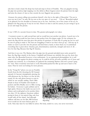asks him to lend a hand. He drops has load and steps in front of Franklin. They are gingerly moving the pipe into position, high stepping over the debris as Rene Gagnon enters the picture from the right and joins the cluster of men as they wrestle the new flagpole into position.

Genaust, his camera rolling now, positions himself a few feet to the right of Rosenthal. "I'm not in your way am I, Joe?" he asks. We are now at the very apex of our story. "Oh no," Rosenthal replied as he glanced over his shoulder at Genaust just to be sure. And then, out of the corner of his eye, he glimpses the flag going up. It may be too late. Thereís no time to aim his camera, he just swings it up in an arc and snaps the picture.

It was 1/400 of a second, frozen in time. The greatest photograph ever taken.

 A moment sooner or a split second later and we would have just another war photo. A good one to be sure, but the flag would not have been at that perfect forty five-degree angle. It's the symmetry between the flag and the men that gives this picture it's greatness. It looks like it's going up, but we can't be sure it's going to make it. The men are struggling so hard to see that it does go up  $-$  and stay up. It makes us want to just dive into the picture and lend them a hand, or cheer them on. It symbolized everything that is great about America; guts, determination, teamwork, strength and most of all. . . love for that flag. Because that flag IS America.

And then it was over. The Marines drive the pipe into the ground and piled more rocks around it's base, the flag flaps smartly in the breeze. Campbell and Genaust are satisfied, they got the shots they came after. Joe Rosenthal however, is less enthusiastic. As an experienced photographer, he is well aware of the odds against his photo coming out. It could be all sky, all rocks, possibly out of focus and certainly not centered. As a consolation, he gathered the remaining Marines and took a posed "gung" ho" shot. Then everybody went back to work. Rosenthal packed his film up and sent it back to the states. Then he went out looking for more pictures.

In the "Gung Ho" photo you can see Franklin fourth from the left, thrusting his M1 Garand upward, itís bayonet triumphantly piercing the cold afternoon sky. Ira Hayes is at the far left, seated. It's the only photo known to exist in which he was actually smiling. That's Mike Strank in front of Franklin with thumbs in pockets and Doc Bradley next to Mike waving his helmet. Everyone is quite jubilant and in high spirits. However the battle was just in it's infancy and would grind on for another thirtytwo days. Of the eighteen American soldiers posing in front of our nation's flag, only four would walk off the island. And although millions will later see his film, Bill Genaust never would see his most famous piece of



This was the "staged" photo that confused people about the flag raising.

work. Nine days later he was killed in action. His body, sealed in a cave, was never recovered .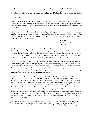The 28<sup>th</sup> regiment spent the next four days resting and licking it's wounds, having lost 510 men in the four day battle to take Suribachi. Some of them spent their time exploring caves in search of souvenirs, others wrote letters home; everyone slept. On February 27<sup>th</sup>, Franklin wrote to his mother Goldie:

## Dearest Mother,

As you probably already know we hit Iwo Jima February 19<sup>th</sup> just a week ago today. My regiment took the hill with our company on the front line. The hill was hard and I sure never expected war to be like it was those first four days. I got some (bullet holes) through my clothing and I sure am happy that I am still OK.

 This island is practically secured. There is some heavy fighting on one end and we are bothered some at night. Mother, you can never imagine how a battlefield looks. It sure looks horrible. I do know of at least four Japs that won't be going back to Tokyo. Look for my picture because I helped put the flag up. Please donít worry and write.

 Your son, Franklin Sousley US Marine

 A soldier will usually gloss things over for his folks back home so as not to upset and worry them. Franklin didn't dare tell her what he was really thinking, making no mention of the horrors he had witnessed firsthand to say nothing of the near paralyzing fear or the overwhelming fatigue they all had to feel. It was as if he was trying to give her a glimpse of what he was truly going through while still shielding her from that truth. It would be the last letter she would ever get from him.

 ìHereís one for all time,î the AP photo editor told his boss. He was holding in his hand a picture just back from Iwo Jima. It was of a flag being raised after the Marines conquered Mt. Suribachi. But this picture was different; it wasnít your everyday news photo. Only one face was visible, the others were all obscured or looking away. Yet it was a masterpiece of composition and lighting. It looked very nearly like it was carved out of stone, its heroic figures larger than life. It was a portrait of everything Americans believed in: bravery, honor . . . determination.

On Sunday February 25, 1945, millions of Americans awoke to find the flag-raising picture on the front page of their newspapers. They had been following the battle of Iwo Jima very closely and the enormous casualty figures were weighing heavily on everyone's hearts. Here is a battle that has taken more of Americaís sons in its first 4 days than did Guadalcanal in 5 months. As they gazed upon the forms of Franklin, John, Harlon, Mike, Ira and Rene planting their country's flag down into the charred terrain of Mt. Suribachi, they are literally transfixed. Suddenly, hearts all across the fruited plain are filled with a resounding joy. Here is what we are fighting about! The public reaction is like a shockwave. Newspaper switchboards are jammed with calls requesting more copies. Special Editions hit the streets, some with the picture in color and others suitable for framing. Editorials erupt praising "this radiant image of victory," some immediately suggesting a monument in its honor as a tribute to America's fighting spirit.

Just who exactly these men were, was anybodyís guess. But Joe Rosenthal became an overnight celebrity. No one back in America yet knew that this wasnít the original flag raising on Suribachi, but a replacement. Since Rosenthal was a civilian, his pictures had traveled back to the states much faster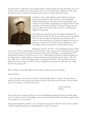than did Loweryís, which had to pass through military channels. When the truth did finally come out it caused a minor scandal, some critics going so far as to accuse Rosenthal of staging the entire scene. He didn't of course, and the color motion picture taken by Genaust silenced his critics.



Harlon Block

In Weslaco, Texas, Harlon Block's mother Belle was breezing through her living room when she first saw the photograph. Harlon's brother had just sat down with the morning paper. She looked over his shoulder, and pointing to the figure on the far right remarked, "Lookit, there's Harlon." Everybody thought she was crazy, but Belle was convinced that it was her son planting the flagpole in the ground.

The public also expected that with the taking of Suribachi, the high ground; the battle was all but won and would soon be winding down. So did the media, who packed up and wandered off in pursuit of their next big story. In reality the opposite was true; the firestorm of lead that was Iwo Jima was just beginning to rage.. The killing would not conclude for another thirty two days.

Wednesday, February 28, 1945 - The 28<sup>th</sup> Regiment receives orders

to move out. They are going directly to the front lines on the western side of the island for the sweep north. A sense of dread soon swells through the ranks. "My  $21^{st}$  Birthday is coming up March  $10^{th}$ ," uttered Boots Thomas, "but I'll never live to see it." Mike Strank was lying in a foxhole staring up at the clouds when a buddy jumped in. Sensing uneasiness, he asked what was the matter. "Oh, nothing,." Mike said. "I was just wondering where we're going with all this." This spooked his friend so badly that he had to leave the foxhole. "He was talking about his death," he said years later. "Mike knew he was going to die."

Back in Weslaco, Texas, Belle Block had just opened a letter from her son Harlon.:

Dearest Mother,

 Just a few lines to let you know Iím okay. I came through without a scratch. I saw Carl Sims just before we hit. He is okay. I guess you're pretty anxious to hear from me by this time. This isn't much but it's all I could get. I will write more later.

Your Loving Son, Harlon

The next day Easy Company and the rest of the 28<sup>th</sup> Regiment plunged back into the horrible nightmare of combat in front of Nishi Ridge, an area strewn with large boulders and shallow jagged ravines. It was going to be a very bad day.

The Japanese fought like banshees, every yard gained was paid for in blood. It was the same scenario as before. Rattling machine guns, charging Marines, smoke and screams...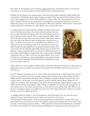The stench of burning flesh was everywhere, gagging both sides. And still they kept on moving forward, almost every step leaving in its path another mother's shattered dreams.

Franklin, Ira and Harlon were among maybe a half dozen men under command of Mike Strank that came under a withering fire from a nest of Japanese snipers. They were pinned down behind a formation of large, jagged rocks, which offered protection on three sides. The only opening was to the sea where American destroyers were laying down a covering fire at the Japanese positions. "You know Holly, that's going to be one Hell of an experience," Mike dryly observed. Asked what he meant, Mike merely pointed in the direction of a fallen Marine a few yards to their front.

A moment later their world exploded. Franklin and Holly were bowled over by the blast but unhurt; a few others received serious head and chest wounds. Shocked and dazed, when the smoke cleared everyone's worst nightmares were realized. There on the ground lay Mike, a hole blown through his chest where his heart had been. Mike Strank, born on the same date as the Marine Corp's founding and on his third tour of duty – lay dead. If ever there was an American hero Mike was it. He had been on one knee drawing a plan in the sand when the shell tore right through him and exploded on the ground. Perhaps saddest of all was the fact that the shell that killed Mike Strank, was not fired by the Japanese. It almost certainly had to come from an offshore destroyer. As one soldier cradled Mike's crumpled form in his arms, another chokingly whispered in his ear, "Mike, you're the best damn Marine I ever knew." If there's any such thing as a silver lining hidden in this tragic footnote, it is this: Even in death Mike Strank had beaten the Japanese, for they never were able to kill him.



Mike Strank

Harlon Block was hit the hardest by Mikeís death. He idolized Mike and losing him was like losing his big brother. It also put Harlon in command of the squad. They left Mike where he lay and went on with the war.

The 28<sup>th</sup> regiment was spread out over a front 1,000 yards wide in front of Nishi ridge with very little in the way of protective cover. It was while working across another barren exposed slope that Doc Bradley had his closest brush with death. He was holding a mortally wounded comrade in his arms trying to tend to his wounds when four Japanese soldiers suddenly made a Banzai charge out of a nearby cave entrance. They were right on top of Doc before he had the slightest chance to react, but luckily another Marine had stopped to help. "Watch out, Bradley!" he shouted while gunning two of the attackers down. The others retreated back to their hole but were quickly dealt with. When it was all over, ten Japanese bodies were pulled out of the cave. The dying soldier Doc tended to was Hank Hansen, one of the original flag-raisers.

As twilight settled on March  $1<sup>st</sup>$ , the  $28<sup>th</sup>$  had gained a mere 300 yards. It was the worst day in the regiment's history and still had one more tragic scene to play out. The squad now belonged to Harlon Block. As he moved among his men, ordering them to dig in and set up a good field of fire. He asked one of them, Tex Stanton, where another soldier was. "Over there," came the reply. "You'd better get down, Harlon..." Whoomp! The mortar round landed directly at Harlon's feet and he just exploded. The Texas All-State football player was ripped open from his groin to his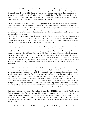throat. For a moment he was immersed in a cloud of dust and smoke as a gathering redness raced across his tattered uniform. He cried out a gurgling, strangulated scream, "They killed me!", and desperately struggled to hold his shattered body together for a moment longer, then turned and collapsed on the ground, dying face-first in the sand. Harlon Block's profile, driving the pole into the ground while the others pushed the flag skyward and perhaps the most dynamic pose ever caught on film. . . now lay in a crumpled heap on Iwo's blood stained sand.

On this very same day, March 1, 1945, U.S. Congressman Joseph Hendricks of Florida rose from his seat in the House of Representatives and introduced a bill authorizing the construction of a monument. It would be a tribute "to the heroic action of the Marine Corps as typified by the Marines in this photograph. I have provided in the bill that this picture be a model for the monument because I do not believe any product of the mind of the artist could equal this photograph in action. Never have I seen a more striking photograph."

March 2-3, 1945 - The battle of Iwo Jima reaches its  $11<sup>th</sup>$  day with a blowing, freezing rain that soaked the remnants of the 28<sup>th</sup> Regiment. American casualties stood at 16,000 while Japanese losses numbered somewhere around 6,000. The tragic loss of both Mike and Harlon on the same day devastated morale in Easy Company. Still, Ira, Franklin and Doc soldiered on.

Over craggy ridges and down rock filled ravines 4,500 men fought an enemy they could rarely see; every man wondering if his next moment would be his last. Some would think about their families and loved ones back home and how they would cope. Others just withdrew unto themselves; all were praying for a miracle that might get them out of this God-awful mess. Most believed their only ticket out would have a bullet attached to it. Iraís darker side one day manifested itself at Franklinís expense. During a brief lull in the fighting, he began to fashion a row of small, uniform mounds of earth with his hands. They looked very much like finished graves in a tiny cemetery. "Hey Franklin, this one here is yours," he said as the big Kentuckian walked by. Franklin kicked the mounds of dirt away and walked off.

Boots Thomas, Mike Strank's counterpart in 2<sup>nd</sup> platoon, which led the charge to the base of Mt. Suribachi on Day three, was shot through the head as he talked on a field telephone. Boots was right about one thing . . .he didn't live to see his 21<sup>st</sup> birthday. No one was immune from death's icy grip. The 2<sup>nd</sup> Battalion's Colonel, Chandler Johnson, who had saved the original flag from Suribachi for his men, was blown to bits by a shell-blast. "One second he was striding along in all his vigor; the next he was in pieces scattered all over the place," said Sergeant Richard Wheeler. His men cried without shame. Doc Bradley's luck continued to hold however, as he shot down bayonet-charging Japanese at near point-blank range while treating another wounded Marine. By the time the sun set, Nishi Ridge had finally fallen; America had laid another 519 of it's sons upon the altar of freedom, and five more Marines would earn the Congressional Medal of Honor, a record unmatched in modern warfare.

Only after the battle was over did the Marines discover that Nishi Ridge was as heavily fortified as Mt. Suribachi. Just over 200 feet high and stretching nearly to the western shoreline, it featured 100 camouflaged caves entrances and was manned by 1000 of Kuribayashi's best troops. Inside they found an elaborate tunnel network; one over 1,000 feet in length. This allowed the Japanese to shift troops to wherever they were needed most – all underground. They even had electricity and their own ventilation system.

On March 5, 2<sup>nd</sup> Battalion was pulled back for a couple days rest. Halfway around the world, the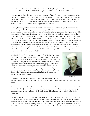latest edition of Time magazine hit the newsstands with the photograph on the cover along with the caption, "TO RANK WITH GETTYSBURG, VALLEY FORGE AND TARAWA".

Two days later, as Franklin and the shattered remnants of Easy Company headed back to the killing fields of northern Iwo Jima, Representative Mike Mansfield of Montana proposed on the House floor that the photograph be made the official symbol of the  $7<sup>th</sup>$  War Bond Tour. Back then, the concept of deficit spending wasn't as popular as it is today. Bond Tours were held to raise money for the war effort. And the  $7<sup>th</sup>$  was going to be the biggest and the best yet.

As the fighting dragged on through March 9<sup>th</sup>, each day became a mirror image of the one before: An early morning artillery barrage, a couple of strafing and bombing runs by Navy aircraft followed by the assault which always ran aground in the face of immediate, fierce opposition. The Japanese just didn't want to give up that island. The battle was now in its 18th day with no light yet at the end of the tunnel. Men were beginning to reach the end of their endurance. Many were in aid stations suffering from combat fatigue. One symptom, known as the 1,000- yard stare, can best be described as that look one has in their eyes when gazing upon their own ghost. At one such station, a young Marine no more than 18 stumbled in, shaking and sweating. He had no visible injuries but was simply overwhelmed with fear. Since they were too busy with other wounded, the doctors sent him back to his unit. Quietly sobbing now, the young Marine slumped down in front of a large boulder about 40 feet behind the aid station. He was still there a half-hour later, crying softly and trembling with fright when a mortar exploded at his feet and killed him.

Doc Bradley's luck finally ran out on March 11<sup>th</sup>. While huddled at the base of a cliff with some other Marines, a mortar exploded against a large, flat rock in front of them, blanketing the group of men in shards of hot steel. Though badly wounded in his right leg and foot, Bradley kept on tending to his wounded countrymen; dragging a soldier here back into a shell crater, working on another one there with a badly mangled leg, completely ignoring his own injuries. They finally evacuated him to a waiting hospital ship. The next day he was on a plane to Guam. John Bradleyís war was over, and he had survived, but his recovery would take months.



John Bradley

On this very day, Wyoming Senator Joseph OíMahoney rose from his seat and declared that a postage stamp should be issued honoring the photograph and the heroic flagraisers.

Rene Gagnon, the last of the flag-raisers and least mentioned in this story, shot his weapon for the first time the day after John Bradley left. He was assigned as a runner for headquarters and had brought the replacement flag up Mt. Suribachi. His figure is barely visible behind that of John Bradley in the photograph.

Gagnon wandered into one of Iwoís countless caves with a buddy, assuming it was secure. They came face to face with a lone Japanese soldier and both Americans momentarily froze. That's all the time their enemy needed. He raised his gun and fired; Reneís buddy fell dead. Another second and it would be Rene's turn. He squeezed the trigger on his Garand rifle and the Japanese soldier crumpled to the floor. "Why did I have to do this?" he later recalled thinking. "Looking down a barrel into someone's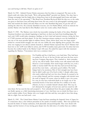eyes and having to kill him. There's no glory in it."

March 14, 1945 - Admiral Chester Nimitz announces that Iwo Jima is conquered. The men on the island could only shake their heads. "We're still getting killed!" growled one Marine. Two days later a Chicago newspaper had the bright idea to bring those men in the photograph back home and make them the stars of the upcoming 7<sup>th</sup> War Bond tour. President Roosevelt liked the idea too, so the order was given to find these men and bring them home. By now, word of the photograph's stunning popularity had reached the island, and since Rene was the only identified flag-raiser, he got the task of naming the other five. He correctly identified everyone, save for Harlon Block, whom he mistook for another Marine who had died in Doc Bradleyís arms two weeks earlier, Hank Hansen.

March 17, 1945 - The Marines were slowly but inexorably winning the battle of Iwo Jima. Disabled American bombers were already beginning to land here on their way back from bombing Japan. By war's end, 2,400 would make emergency landings on Iwo's tired and tattered runways, saving the lives of 27,000 crewmen and their planes. To the first American airman coming in over the battlefield, it was one of the most peculiar sights in military history. There, below them, were two huge armies locked in a mortal death-struggle, but only one was visible; the army fighting above ground. The other army was waging its war almost entirely beneath it. Admiral Nimitz reported that 24,127 Marines had been lost so far: 4,189 were killed in action, and 19,938 wounded, many grievously. Iwo Jima had now become the costliest battle in the Marine Corpís 168 years. He ended his report with this statement regarding the Marines, "Uncommon valor was a common virtue."



Ira Hayes

For Franklin and Ira, it had been a very hard time. They had been in combat for 20 out of the last 26 days and were the lone surviving Easy Company flag-raisers. They watched as their comrades, one by one, fell in battle. Their clothes were still stained with their blood as a cruel reminder. How much longer until they too, took a bullet or mortar shell? The fact that they had survived this long proved they were lucky. . .and pretty good soldiers. The battle fatigue had to be enormous. Part of Ira's strength may have been that he didn't really care if he lived or died. A deeply sullen man, who rarely smiled and had very few close friends, he seemed to be at war within himself, and his constant struggles with alcohol were the stuff of legend. Of course, when he drank, it got a lot worse. In a way, he may have welcomed death as an escape out of his emotional morass. It has been said that for a soldier to be truly effective, he has to consider himself already dead. This way, he isn't distracted by thoughts of loved ones and how much he will

miss them. He has seen his fate and accepted it. Now unburdened from this great weight, the soldier can finally operate as a fully functioning instrument of war. And there was no doubt Ira Hayes was a good combat soldier. Every Marine who ever fought with him said they were glad to have him alongside in a fight. Not one bad word  $-$  ever.

March 21, 1945 - The United States Marine Corps had been attacking the Imperial Army of Japan for 31 consecutive days; a feat without precedent in the annals of modern warfare. Men were pushed way beyond the limits of human endurance, both physically and psychologically. They were drunk with fatigue and the horrors of war, having gone deeper into the dark abyss of combat than any soldiers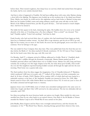before them. Their mental toughness, that sharp focus on survival, which had carried them throughout the battle, had by now entirely deserted them.

And that is when it happened to Franklin. He had been milling about with some other Marines during a short lull in the fighting. The Japanese were bottled up on the northern tip of the island near Kitano Point. Maybe, just maybe, he could survive this nightmare and go back home to Marian's loving arms. Back into his mother Goldie's warm and caring embrace; maybe spin some tall tales on the Liars Bench of the Hilltop General Store, just like the good old days... Life had seemed so much simpler then. And how he missed it.

The bullet hit him square in the back, shattering his spine. His buddies dove for cover as he swatted absently at his shirt, as if brushing away a fly; then collapsed. "How ya doin?" one shouted. "Not bad," Franklin replied, "I don't feel anything." And then he died.

Frank Sousley, who had survived thirty days of combat, who had transformed from happy-go-lucky farm boy to hardened combat veteran - lay dead. Who at age nineteen, quit his job at GM to go and fight for his country, was no more of this Earth. He never saw the photograph, never even knew of itís existence. Now he belongs to the ages.

The war ended for Easy Company three days later. They were pulled back from the front line just two days before the Battle of Iwo Jima reached it's bloody conclusion. Of the 310 men of Easy Company that hit the beach some thirty days ago, only fifty were left.

On Monday, April 9<sup>th</sup>, a telegram arrived in Hilltop, addressed to Goldie. Word of Franklin's death soon raced like a wildfire through the Kentucky countryside. Marian Hamm packed up all of Franklinís personal effects and walked them over to Goldieís house. Marian was still young and knew someday she would get over this tragic chapter in her life, but what about poor Goldie, what would she ever do? Her neighbors reported hearing Goldie's screams all through the night and into the next morning. Their home was a quarter-mile away.

The final numbers from Iwo Jima stagger the imagination. Out of Chandler Johnson's 2<sup>nd</sup> Battalion, which numbered 1,688 men at its peak, only 177 walked off the island; even their commander was dead. In 36 days of battle, 25,851 Marines fell in combat; 6,821 of which died and were buried in a makeshift cemetery at the base of Mt. Suribachi. Franklin was interred in Grave No. 2189, Mike Strank rested in Grave 694, while Harlon Block was buried in Grave 912. It took ten years to have all the bodies exhumed and brought home to America.

Japanese losses were 21,000 killed, most of which were entombed underground in the same caves in which they fought and died. Only 1,000 survived to be taken prisoner. The last two defenders did not surrender until 1949.

Iwo Jima was perhaps the most ferocious battle our nation ever fought. More medals for valor were awarded here than for any other battle in our nationís history. One third of the 84 Medals of Honor awarded the Marine Corps in all of World War II were earned on Iwo Jima.

John Bradley, Rene Gagnon and Ira Hayes were overnight national heroes, and thus became the centerpiece of the 7<sup>th</sup> War Bond Tour. Massive, cheering throngs greeted them wherever they went,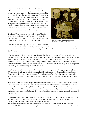large city or small. Ironically, they didn't consider themselves heroes, and all were very public about it. The real heroes were those men who didn't return; all their buddies who were still back there. . . still on the island. They were just part of an accidental photograph. Near the end of the tour, Iraís drinking problem became so severe he was shipped back to his unit to keep him out of the public eye. The pressure was just more than he could take. He had told the Marine Corps of Rene's mistake identifying Hank Hansen as Harlon Block, but they told him to keep his mouth shut; it was too late to do anything now.

The Bond Tour wrapped up it's wildly successful eight week trip around America in Washington D.C. on the 4<sup>th</sup> of July. The War Dept. had hoped to raise \$14 billion dollars. By tour's end they had over \$26 billion dollars.



John Bradley, Ira Hayes, and Rene Gagnon outside the Oval Office, April 1945.

One month and two days later, a lone B-29 bomber carry-

ing the world's first atomic bomb, dipped its wings in salute as it

flew over Iwo Jima on its way to Hiroshima. Japan would formally surrender within days and World War II would be over.

John Bradley married his hometown sweetheart and embarked on a successful career as a funeral director. His wife said he cried in his sleep for four years, tears running down his cheeks. Rene Gagnon also got married, but never did find the fame and fortune he so desperately desired. He had been promised all kinds of job opportunities during the Bond Tour, but after the war ended his celebrity status waned and the promised jobs turned out to be so much hot air. He ended up back on his prewar job working in a textile factory in New Hampshire.

Ira Hayes on the other hand, constantly found his name among the headlines, getting arrested over fifty times for drunk and disorderly conduct. In 1946 he hitchhiked to Texas and informed Harlon Block's father that his son, was indeed, the figure planting the flagpole in the famous photograph. A letter to their congressman soon followed, and in January, 1947, the Marine Corps admitted its mistake.

That same month, the military began bringing home the bodies of the Marines buried on Iwo. Mike Strank was buried in Arlington National Cemetery with full military honors. Harlon Block's parents chose to have his remains brought back to Weslaco, Texas. Over 20,000 people turned out for his funeral procession. The caisson, which carried his body, was escorted by the surviving members of his undefeated high school football team; all of whom joined the Marines en masse after their high school graduation.

Franklin Runyon Sousley was buried in the Elizaville Cemetery on a beautiful, sunny Saturday morning, May 8, 1947. As the Marine escort gently lowered his body into it's final resting place, local surviving veterans fired a salute as a lone bugler played taps.

To describe the ceremony as a somber occasion would be an understatement. Hardened veterans of the conflict had to draw on all their strength to choke back the tears while women and children cried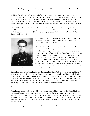unashamedly. The governor of Kentucky stepped forward to hold Goldie's hand as she said her last good-byes to the son she loved so much.

On November 10, 1954 in Washington, D.C., the Marine Corps Monument honoring the six flagraisers was unveiled amidst much pomp and ceremony. At 110 feet tall and weighing over 100 tons, it was the largest bronze statue in the world. Nearly 7,000 dignitaries were on hand. At the moment of the unveiling, everyone sat and gazed upon the statue in stunned reverence. Ira broke down and sobbed, burying his face in Goldie's lap. It would be the last time the three survivors would ever meet.

Ten weeks later, Ira Hayes was dead. He had been in a brawl over an all-night card game and was found facedown next to an old rusting car on his reservation. The coroner ruled it as a case of hypothermia, but everyone knew he had finally lost the biggest battle of his life; the battle with alcohol. Ira Hayes was 32 years old.



rene Gagnon

Rene Gagnon never did capitalize on his fame as a flag-raiser. He bounced around from job to job until he died of a heart attack in 1979 at age 54. He was a janitor.

Of the six men in the photograph, only John Bradley, the Navy medic, was able to find any semblance of happiness and contentment. He fathered eight children and remained married to the same woman until he passed away in 1994. Throughout the remainder of his life, John Bradley steadfastly refused to talk about Iwo Jima, the Photograph, even the war itself. The famous photograph never adorned his home's walls, the Navy Cross for Valor remained hidden in an upstairs closet until after his death. There were myriad reasons for this of course, all the horrors of combat he witnessed firsthand, the brutal torture-murder of his best friend at the hands of some Japanese hiding in a cave.

But perhaps most of all, John Bradley just didn't consider himself a hero.( Most heroes are like that ) One day in 1964, his nine year old son, James, came home with his third grade history book showing the famous photograph of the flag-raising on Suribachi. "Look! There's your picture! My teacher says you're a hero and she wants you to speak to my class. Will you give a speech?" John didn't answer right away; when he did, he declined. All he told young James was this: "Son, I want you to remember something. The real heroes of Iwo Jima are the men who didn't come back."

What are we to do of this?

When I discovered the link between this enormous moment in history and Moraine Assembly, I was awestruck. Here we have one of our former co-workers, at the epicenter of one of our nationís defining moments. I knew we, as a workforce, would have to do something to honor this man and his sacrifices. The big question was what. And how. Franklin Sousley died at age nineteen. I can't even remember being nineteen. I now have children his age and have enjoyed the freedoms he fought and died for my whole life.

Think of the things he missed. The end of that horrific battle and of the war, the farm he never came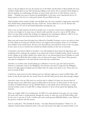home to. He got killed in the war. He missed out on the Fifties and the birth of Rock & Roll. He never watched a Super Bowl or saw Neil Armstrong walking on the moon. Not to mention all the things we take for granted: air conditioning, television, an end to polio and a host of other diseases. And our family. . . Franklin never got to bounce his grandchildren on his knee, never experienced the joy of being a parent or the love of a truly good woman. He got killed in the war.

 Both Franklin and his mother Goldie were big Reds fans. He never attended a single game, missed the three World Series championships that they would win. And he didnít live to see the disaster that unfolded on our TV sets on that fateful September morning last year.

And so now we find ourselves involved in another war. A war that is much more complicated than any we have ever fought in. In many ways, it doesn't really seem like we are in a war at all. We still go about our same daily routines like nothing ever happened, but something is different. 3,000 of us are gone, countless lives have been shattered by the loss of their loved ones.

Many men and women from this plant have followed in Franklin' footsteps to serve our nation in time of crisis. Many are serving now and they deserve our support and our prayers. Some of our members have children in the armed forces. We have seen their pictures and read their stories in this very paper. In fact, some of our co-workers have already lost family members in this war on terrorism.

I remember a day back in March at the plant. I was still reading the book about the flag-raisers and wondering what I could get the company to go along with to honor Franklin Sousley. Surely it must be worth a plaque in the lobby's display case, maybe next to our chrome-plated shovel. Perhaps we could rename Chevrolet Blvd after him or plant a tree out front in his name. I donít know. These gestures seem pale in comparison to the man and the events that they would honor.

And then a co-worker came around taking up a collection. It was for a guy who had just lost his brother in a helicopter crash in the Philippines. He had been sent there to help train the Philippine Army in itís fight against al-Qaeda and was killed when his copter went down at sea. There were ten men on board; all died.

I asked how much money he had collected and was told they might get as much as \$300 dollars. 300 bucks. Is that all this manís life was worth? How far will 300 bucks put his three kids through college?

And that's when it hit me. Why don't we send his kids to college? Or better yet, lets put them all through school; every child whose parent is killed while in the service of their country in this war on terrorism. If Saddam Hussein can pay \$20,000 dollars to each family whose kid becomes a suicide terrorist bomber, surely we could offer a college education to those whose parent dies fighting these monsters.

There are roughly 4,200 of us working here. If 4,000 of us each pitched in the price of a can of pop (65 cents) each week, it would generate through the course of each year, over \$135,000 dollars. Just for the cost of one can of Coke. A dollar each week would generate \$200,000 dollars a year. Think of the good we could do with this money.

And we could call it, "The Franklin R. Sousley – Iwo Jima Memorial Foundation." Think of it. An employee funded charity dedicated solely to the men and women who fight our nationís battles. I can